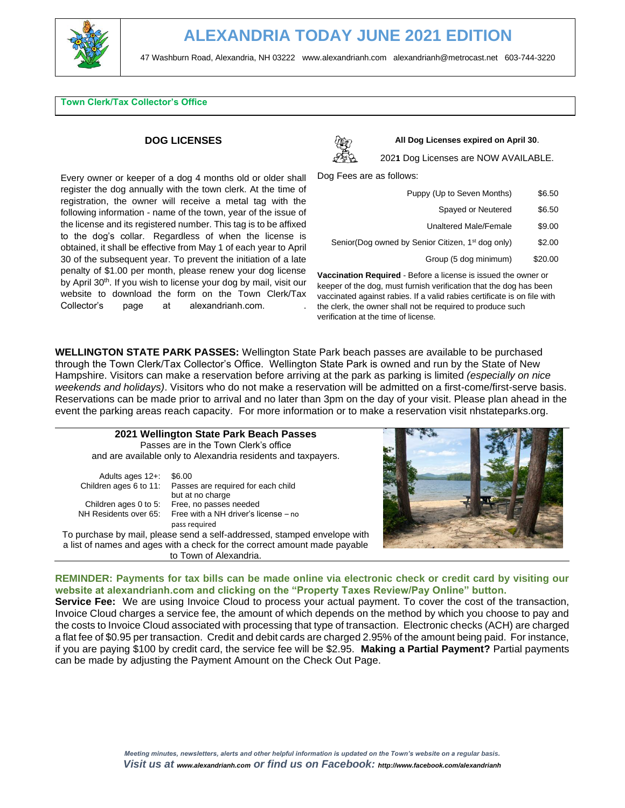

### **Town Clerk/Tax Collector's Office**

### **DOG LICENSES**

Every owner or keeper of a dog 4 months old or older shall register the dog annually with the town clerk. At the time of registration, the owner will receive a metal tag with the following information - name of the town, year of the issue of the license and its registered number. This tag is to be affixed to the dog's collar. Regardless of when the license is obtained, it shall be effective from May 1 of each year to April 30 of the subsequent year. To prevent the initiation of a late penalty of \$1.00 per month, please renew your dog license by April 30<sup>th</sup>. If you wish to license your dog by mail, visit our website to download the form on the Town Clerk/Tax Collector's page at alexandrianh.com. .



**All Dog Licenses expired on April 30**.

202**1** Dog Licenses are NOW AVAILABLE.

Dog Fees are as follows:

| Puppy (Up to Seven Months)                                                                                                                                                 | \$6.50  |  |
|----------------------------------------------------------------------------------------------------------------------------------------------------------------------------|---------|--|
| Spayed or Neutered                                                                                                                                                         | \$6.50  |  |
| <b>Unaltered Male/Female</b>                                                                                                                                               | \$9.00  |  |
| Senior(Dog owned by Senior Citizen, 1 <sup>st</sup> dog only)                                                                                                              | \$2.00  |  |
| Group (5 dog minimum)                                                                                                                                                      | \$20.00 |  |
| cination Required - Before a license is issued the owner or<br>to a contribution of a constant of constants to constitute of a contract of the contract to a contract of a |         |  |

**Vaccination** keeper of the dog, must furnish verification that the dog has been vaccinated against rabies. If a valid rabies certificate is on file with the clerk, the owner shall not be required to produce such verification at the time of license.

**WELLINGTON STATE PARK PASSES:** Wellington State Park beach passes are available to be purchased through the Town Clerk/Tax Collector's Office. Wellington State Park is owned and run by the State of New Hampshire. Visitors can make a reservation before arriving at the park as parking is limited *(especially on nice weekends and holidays)*. Visitors who do not make a reservation will be admitted on a first-come/first-serve basis. Reservations can be made prior to arrival and no later than 3pm on the day of your visit. Please plan ahead in the event the parking areas reach capacity. For more information or to make a reservation visit nhstateparks.org.



**REMINDER: Payments for tax bills can be made online via electronic check or credit card by visiting our website at alexandrianh.com and clicking on the "Property Taxes Review/Pay Online" button.** 

**Service Fee:** We are using Invoice Cloud to process your actual payment. To cover the cost of the transaction, Invoice Cloud charges a service fee, the amount of which depends on the method by which you choose to pay and the costs to Invoice Cloud associated with processing that type of transaction. Electronic checks (ACH) are charged a flat fee of \$0.95 per transaction. Credit and debit cards are charged 2.95% of the amount being paid. For instance, if you are paying \$100 by credit card, the service fee will be \$2.95. **Making a Partial Payment?** Partial payments can be made by adjusting the Payment Amount on the Check Out Page.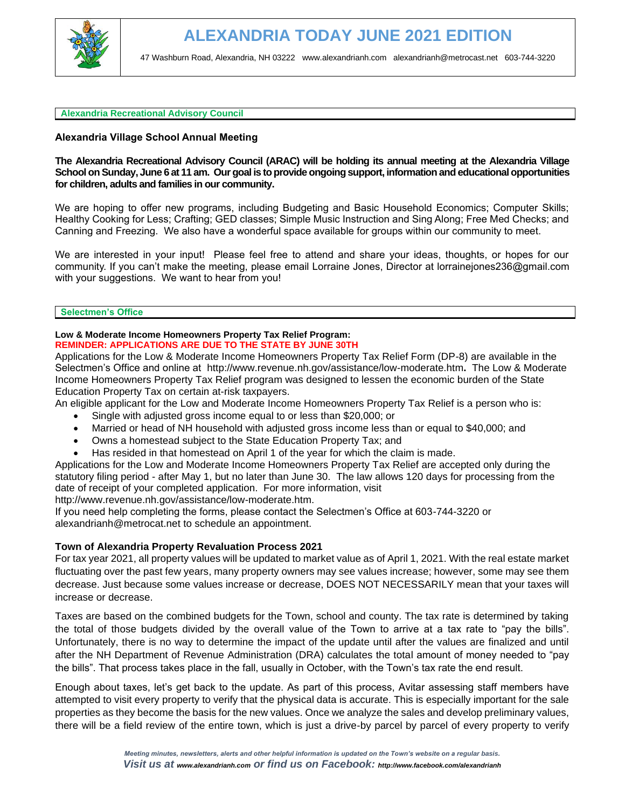

### **Alexandria Recreational Advisory Council**

# **Alexandria Village School Annual Meeting**

# **The Alexandria Recreational Advisory Council (ARAC) will be holding its annual meeting at the Alexandria Village School on Sunday, June 6 at 11 am. Our goal is to provide ongoing support, information and educational opportunities for children, adults and families in our community.**

We are hoping to offer new programs, including Budgeting and Basic Household Economics; Computer Skills; Healthy Cooking for Less; Crafting; GED classes; Simple Music Instruction and Sing Along; Free Med Checks; and Canning and Freezing. We also have a wonderful space available for groups within our community to meet.

We are interested in your input! Please feel free to attend and share your ideas, thoughts, or hopes for our community. If you can't make the meeting, please email Lorraine Jones, Director at [lorrainejones236@gmail.com](mailto:lorrainejones236@gmail.com)  with your suggestions. We want to hear from you!

**Selectmen's Office**

#### **Low & Moderate Income Homeowners Property Tax Relief Program: REMINDER: APPLICATIONS ARE DUE TO THE STATE BY JUNE 30TH**

Applications for the Low & Moderate Income Homeowners Property Tax Relief Form (DP-8) are available in the Selectmen's Office and online at <http://www.revenue.nh.gov/assistance/low-moderate.htm>**.** The Low & Moderate Income Homeowners Property Tax Relief program was designed to lessen the economic burden of the State Education Property Tax on certain at-risk taxpayers.

An eligible applicant for the Low and Moderate Income Homeowners Property Tax Relief is a person who is: • Single with adjusted gross income equal to or less than \$20,000; or

- Married or head of NH household with adjusted gross income less than or equal to \$40,000; and
- Owns a homestead subject to the State Education Property Tax; and
- Has resided in that homestead on April 1 of the year for which the claim is made.

Applications for the Low and Moderate Income Homeowners Property Tax Relief are accepted only during the statutory filing period - after May 1, but no later than June 30. The law allows 120 days for processing from the date of receipt of your completed application. For more information, visit [http://www.revenue.nh.gov/assistance/low-moderate.htm.](http://www.revenue.nh.gov/assistance/low-moderate.htm)

If you need help completing the forms, please contact the Selectmen's Office at 603-744-3220 or [alexandrianh@metrocat.net](mailto:alexandrianh@metrocat.net) to schedule an appointment.

# **Town of Alexandria Property Revaluation Process 2021**

For tax year 2021, all property values will be updated to market value as of April 1, 2021. With the real estate market fluctuating over the past few years, many property owners may see values increase; however, some may see them decrease. Just because some values increase or decrease, DOES NOT NECESSARILY mean that your taxes will increase or decrease.

Taxes are based on the combined budgets for the Town, school and county. The tax rate is determined by taking the total of those budgets divided by the overall value of the Town to arrive at a tax rate to "pay the bills". Unfortunately, there is no way to determine the impact of the update until after the values are finalized and until after the NH Department of Revenue Administration (DRA) calculates the total amount of money needed to "pay the bills". That process takes place in the fall, usually in October, with the Town's tax rate the end result.

Enough about taxes, let's get back to the update. As part of this process, Avitar assessing staff members have attempted to visit every property to verify that the physical data is accurate. This is especially important for the sale properties as they become the basis for the new values. Once we analyze the sales and develop preliminary values, there will be a field review of the entire town, which is just a drive-by parcel by parcel of every property to verify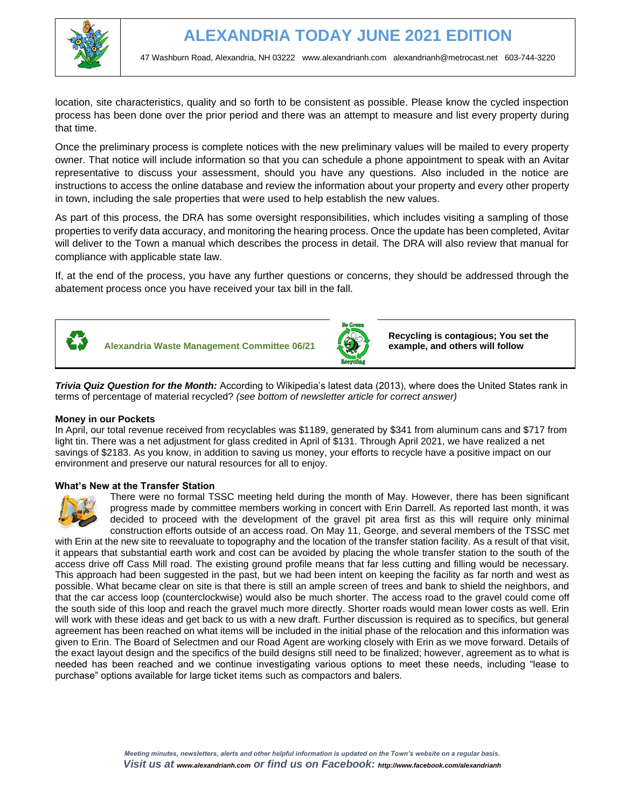

location, site characteristics, quality and so forth to be consistent as possible. Please know the cycled inspection process has been done over the prior period and there was an attempt to measure and list every property during that time.

Once the preliminary process is complete notices with the new preliminary values will be mailed to every property owner. That notice will include information so that you can schedule a phone appointment to speak with an Avitar representative to discuss your assessment, should you have any questions. Also included in the notice are instructions to access the online database and review the information about your property and every other property in town, including the sale properties that were used to help establish the new values.

As part of this process, the DRA has some oversight responsibilities, which includes visiting a sampling of those properties to verify data accuracy, and monitoring the hearing process. Once the update has been completed, Avitar will deliver to the Town a manual which describes the process in detail. The DRA will also review that manual for compliance with applicable state law.

If, at the end of the process, you have any further questions or concerns, they should be addressed through the abatement process once you have received your tax bill in the fall.



**Alexandria Waste Management Committee 06/21** 



**Recycling is contagious; You set the example, and others will follow**

*Trivia Quiz Question for the Month:* According to Wikipedia's latest data (2013), where does the United States rank in terms of percentage of material recycled? *(see bottom of newsletter article for correct answer)* 

# **Money in our Pockets**

In April, our total revenue received from recyclables was \$1189, generated by \$341 from aluminum cans and \$717 from light tin. There was a net adjustment for glass credited in April of \$131. Through April 2021, we have realized a net savings of \$2183. As you know, in addition to saving us money, your efforts to recycle have a positive impact on our environment and preserve our natural resources for all to enjoy.

# **What's New at the Transfer Station**



There were no formal TSSC meeting held during the month of May. However, there has been significant progress made by committee members working in concert with Erin Darrell. As reported last month, it was decided to proceed with the development of the gravel pit area first as this will require only minimal construction efforts outside of an access road. On May 11, George, and several members of the TSSC met

with Erin at the new site to reevaluate to topography and the location of the transfer station facility. As a result of that visit, it appears that substantial earth work and cost can be avoided by placing the whole transfer station to the south of the access drive off Cass Mill road. The existing ground profile means that far less cutting and filling would be necessary. This approach had been suggested in the past, but we had been intent on keeping the facility as far north and west as possible. What became clear on site is that there is still an ample screen of trees and bank to shield the neighbors, and that the car access loop (counterclockwise) would also be much shorter. The access road to the gravel could come off the south side of this loop and reach the gravel much more directly. Shorter roads would mean lower costs as well. Erin will work with these ideas and get back to us with a new draft. Further discussion is required as to specifics, but general agreement has been reached on what items will be included in the initial phase of the relocation and this information was given to Erin. The Board of Selectmen and our Road Agent are working closely with Erin as we move forward. Details of the exact layout design and the specifics of the build designs still need to be finalized; however, agreement as to what is needed has been reached and we continue investigating various options to meet these needs, including "lease to purchase" options available for large ticket items such as compactors and balers.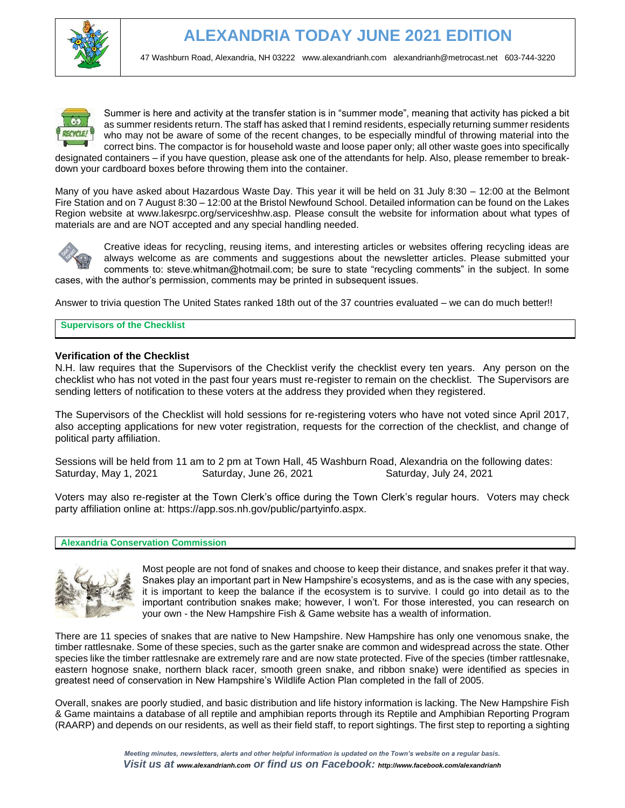



Summer is here and activity at the transfer station is in "summer mode", meaning that activity has picked a bit as summer residents return. The staff has asked that I remind residents, especially returning summer residents who may not be aware of some of the recent changes, to be especially mindful of throwing material into the correct bins. The compactor is for household waste and loose paper only; all other waste goes into specifically

designated containers – if you have question, please ask one of the attendants for help. Also, please remember to breakdown your cardboard boxes before throwing them into the container.

Many of you have asked about Hazardous Waste Day. This year it will be held on 31 July 8:30 – 12:00 at the Belmont Fire Station and on 7 August 8:30 – 12:00 at the Bristol Newfound School. Detailed information can be found on the Lakes Region website at www.lakesrpc.org/serviceshhw.asp. Please consult the website for information about what types of materials are and are NOT accepted and any special handling needed.



Creative ideas for recycling, reusing items, and interesting articles or websites offering recycling ideas are always welcome as are comments and suggestions about the newsletter articles. Please submitted your comments to: steve.whitman@hotmail.com; be sure to state "recycling comments" in the subject. In some cases, with the author's permission, comments may be printed in subsequent issues.

Answer to trivia question The United States ranked 18th out of the 37 countries evaluated – we can do much better!!

#### **Supervisors of the Checklist**

### **Verification of the Checklist**

N.H. law requires that the Supervisors of the Checklist verify the checklist every ten years. Any person on the checklist who has not voted in the past four years must re-register to remain on the checklist. The Supervisors are sending letters of notification to these voters at the address they provided when they registered.

The Supervisors of the Checklist will hold sessions for re-registering voters who have not voted since April 2017, also accepting applications for new voter registration, requests for the correction of the checklist, and change of political party affiliation.

Sessions will be held from 11 am to 2 pm at Town Hall, 45 Washburn Road, Alexandria on the following dates: Saturday, May 1, 2021 Saturday, June 26, 2021 Saturday, July 24, 2021

Voters may also re-register at the Town Clerk's office during the Town Clerk's regular hours. Voters may check party affiliation online at: https://app.sos.nh.gov/public/partyinfo.aspx.

#### **Alexandria Conservation Commission**



Most people are not fond of snakes and choose to keep their distance, and snakes prefer it that way. Snakes play an important part in New Hampshire's ecosystems, and as is the case with any species, it is important to keep the balance if the ecosystem is to survive. I could go into detail as to the important contribution snakes make; however, I won't. For those interested, you can research on your own - the New Hampshire Fish & Game website has a wealth of information.

There are 11 species of snakes that are native to New Hampshire. New Hampshire has only one venomous snake, the timber rattlesnake. Some of these species, such as the garter snake are common and widespread across the state. Other species like the timber rattlesnake are extremely rare and are now state protected. Five of the species (timber rattlesnake, eastern hognose snake, northern black racer, smooth green snake, and ribbon snake) were identified as species in greatest need of conservation in New Hampshire's Wildlife Action Plan completed in the fall of 2005.

Overall, snakes are poorly studied, and basic distribution and life history information is lacking. The New Hampshire Fish & Game maintains a database of all reptile and amphibian reports through its Reptile and Amphibian Reporting Program (RAARP) and depends on our residents, as well as their field staff, to report sightings. The first step to reporting a sighting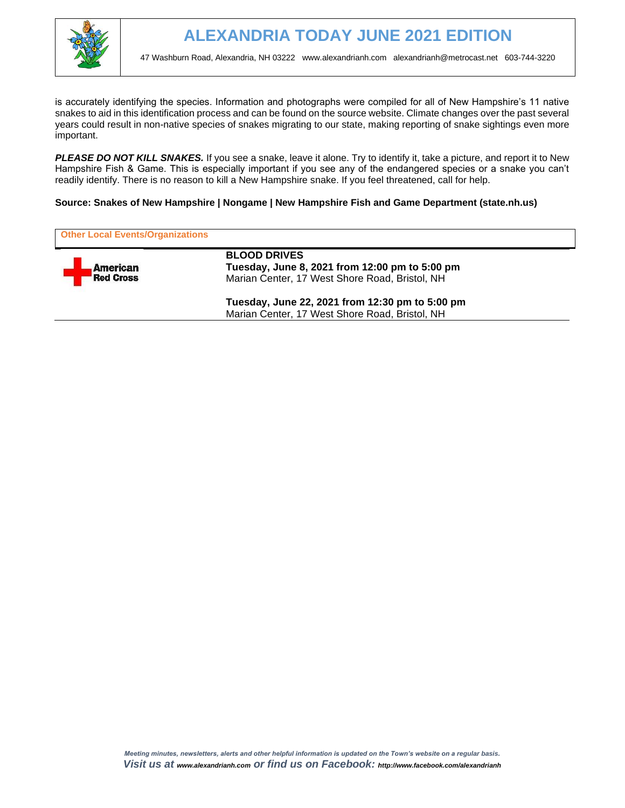

is accurately identifying the species. Information and photographs were compiled for all of New Hampshire's 11 native snakes to aid in this identification process and can be found on the source website. Climate changes over the past several years could result in non-native species of snakes migrating to our state, making reporting of snake sightings even more important.

**PLEASE DO NOT KILL SNAKES.** If you see a snake, leave it alone. Try to identify it, take a picture, and report it to New Hampshire Fish & Game. This is especially important if you see any of the endangered species or a snake you can't readily identify. There is no reason to kill a New Hampshire snake. If you feel threatened, call for help.

# **Source: Snakes of New Hampshire | Nongame | New Hampshire Fish and Game Department (state.nh.us)**

| <b>Other Local Events/Organizations</b> |                                                                                                                         |
|-----------------------------------------|-------------------------------------------------------------------------------------------------------------------------|
| American<br><b>Red Cross</b>            | <b>BLOOD DRIVES</b><br>Tuesday, June 8, 2021 from 12:00 pm to 5:00 pm<br>Marian Center, 17 West Shore Road, Bristol, NH |
|                                         | Tuesday, June 22, 2021 from 12:30 pm to 5:00 pm<br>Marian Center, 17 West Shore Road, Bristol, NH                       |